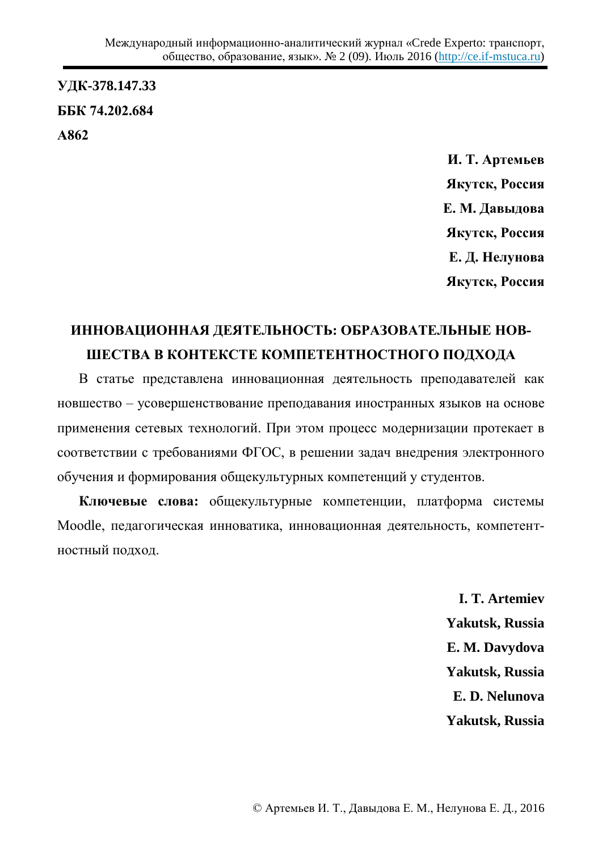**ɍȾɄ-378.147.33 ȻȻɄ 74.202.684 Ⱥ862**

> **И. Т. Артемьев Якутск, Россия** Е. М. Давыдова **Якутск, Россия** Е. Д. Нелунова **Якутск, Россия**

## ИННОВАЦИОННАЯ ДЕЯТЕЛЬНОСТЬ: ОБРАЗОВАТЕЛЬНЫЕ НОВ-ШЕСТВА В КОНТЕКСТЕ КОМПЕТЕНТНОСТНОГО ПОДХОДА

В статье представлена инновационная деятельность преподавателей как новшество – усовершенствование преподавания иностранных языков на основе применения сетевых технологий. При этом процесс модернизации протекает в соответствии с требованиями ФГОС, в решении задач внедрения электронного обучения и формирования общекультурных компетенций у студентов.

**Ключевые слова:** общекультурные компетенции, платформа системы Moodle, педагогическая инноватика, инновационная деятельность, компетентностный подход.

> **I. T. Artemiev Yakutsk, Russia E. M. Davydova Yakutsk, Russia E. D. Nelunova Yakutsk, Russia**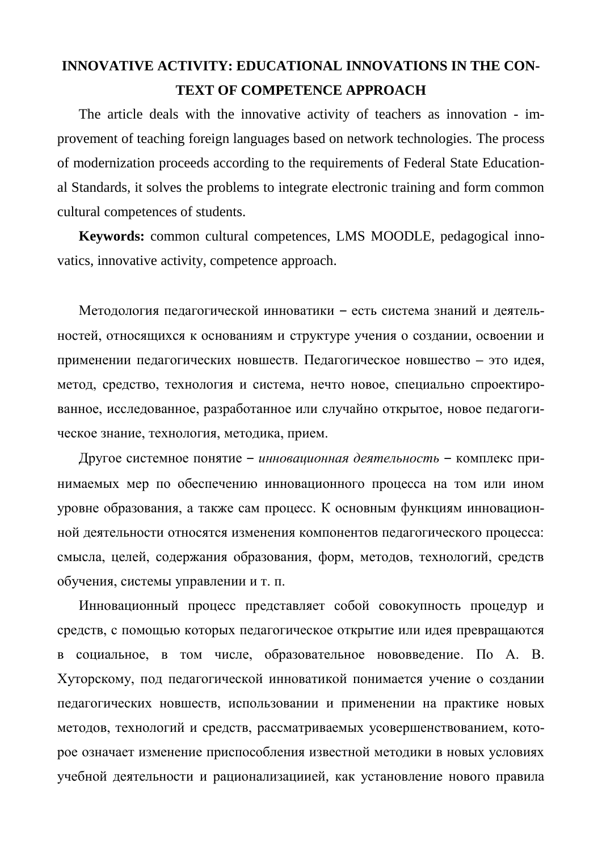## **INNOVATIVE ACTIVITY: EDUCATIONAL INNOVATIONS IN THE CON-TEXT OF COMPETENCE APPROACH**

The article deals with the innovative activity of teachers as innovation - improvement of teaching foreign languages based on network technologies. The process of modernization proceeds according to the requirements of Federal State Educational Standards, it solves the problems to integrate electronic training and form common cultural competences of students.

**Keywords:** common cultural competences, LMS MOODLE, pedagogical innovatics, innovative activity, competence approach.

Методология педагогической инноватики - есть система знаний и деятельностей, относящихся к основаниям и структуре учения о создании, освоении и применении педагогических новшеств. Педагогическое новшество - это идея, метод, средство, технология и система, нечто новое, специально спроектированное, исследованное, разработанное или случайно открытое, новое педагогическое знание, технология, методика, прием.

Другое системное понятие – инновационная деятельность – комплекс принимаемых мер по обеспечению инновационного процесса на том или ином уровне образования, а также сам процесс. К основным функциям инновационной деятельности относятся изменения компонентов педагогического процесса: смысла, целей, содержания образования, форм, методов, технологий, средств обучения, системы управлении и т. п.

Инновационный процесс представляет собой совокупность процедур и средств, с помощью которых педагогическое открытие или идея превращаются в социальное, в том числе, образовательное нововведение. По А. В. Хуторскому, под педагогической инноватикой понимается учение о создании педагогических новшеств, использовании и применении на практике новых методов, технологий и средств, рассматриваемых усовершенствованием, которое означает изменение приспособления известной методики в новых условиях учебной деятельности и рационализациией, как установление нового правила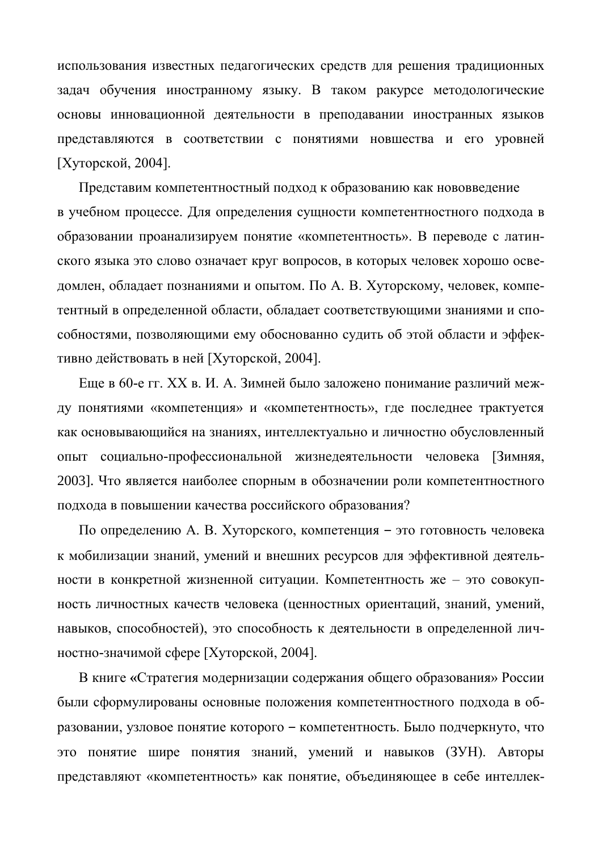использования известных педагогических средств для решения традиционных задач обучения иностранному языку. В таком ракурсе методологические основы инновационной деятельности в преподавании иностранных языков представляются в соответствии с понятиями новшества и его уровней  $[X$ уторской, 2004].

Представим компетентностный подход к образованию как нововведение в учебном процессе. Для определения сущности компетентностного подхода в образовании проанализируем понятие «компетентность». В переводе с латинского языка это слово означает круг вопросов, в которых человек хорошо осведомлен, обладает познаниями и опытом. По А. В. Хуторскому, человек, компетентный в определенной области, обладает соответствующими знаниями и способностями, позволяющими ему обоснованно судить об этой области и эффективно действовать в ней [Хуторской, 2004].

Еще в 60-е гг. XX в. И. А. Зимней было заложено понимание различий между понятиями «компетенция» и «компетентность», где последнее трактуется как основывающийся на знаниях, интеллектуально и личностно обусловленный опыт социально-профессиональной жизнедеятельности человека [Зимняя, 2003]. Что является наиболее спорным в обозначении роли компетентностного подхода в повышении качества российского образования?

По определению А. В. Хуторского, компетенция – это готовность человека к мобилизации знаний, умений и внешних ресурсов для эффективной деятельности в конкретной жизненной ситуации. Компетентность же – это совокупность личностных качеств человека (ценностных ориентаций, знаний, умений, навыков, способностей), это способность к деятельности в определенной личностно-значимой сфере [Хуторской, 2004].

В книге «Стратегия модернизации содержания общего образования» России были сформулированы основные положения компетентностного подхода в образовании, узловое понятие которого - компетентность. Было подчеркнуто, что это понятие шире понятия знаний, умений и навыков (ЗУН). Авторы представляют «компетентность» как понятие, объединяющее в себе интеллек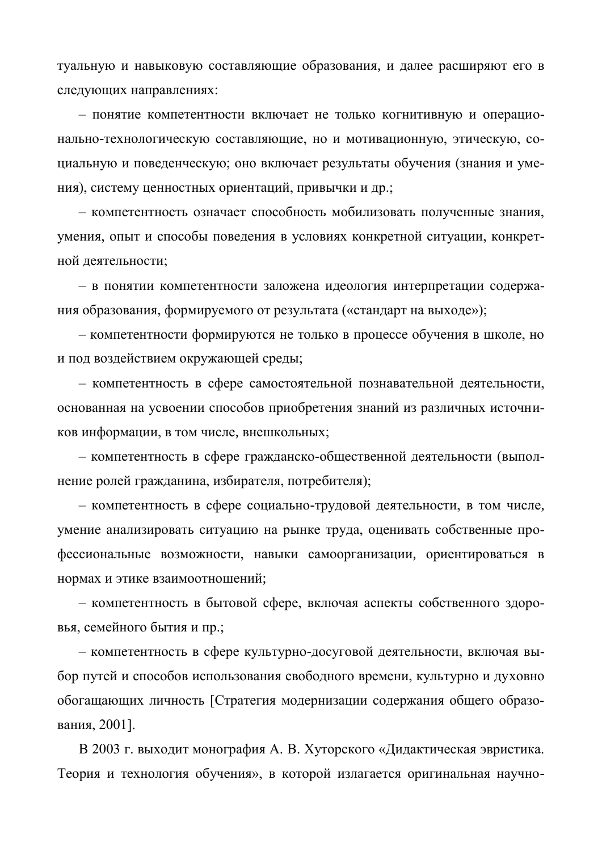туальную и навыковую составляющие образования, и далее расширяют его в следующих направлениях:

– понятие компетентности включает не только когнитивную и операционально-технологическую составляющие, но и мотивационную, этическую, социальную и поведенческую; оно включает результаты обучения (знания и умения), систему ценностных ориентаций, привычки и др.;

– компетентность означает способность мобилизовать полученные знания, умения, опыт и способы поведения в условиях конкретной ситуации, конкретной деятельности:

– в понятии компетентности заложена идеология интерпретации содержания образования, формируемого от результата («стандарт на выходе»);

– компетентности формируются не только в процессе обучения в школе, но и под воздействием окружающей среды;

– компетентность в сфере самостоятельной познавательной деятельности, основанная на усвоении способов приобретения знаний из различных источников информации, в том числе, внешкольных;

– компетентность в сфере гражданско-общественной деятельности (выполнение ролей гражданина, избирателя, потребителя);

– компетентность в сфере социально-трудовой деятельности, в том числе, умение анализировать ситуацию на рынке труда, оценивать собственные профессиональные возможности, навыки самоорганизации, ориентироваться в нормах и этике взаимоотношений;

– компетентность в бытовой сфере, включая аспекты собственного здоровья, семейного бытия и пр.;

– компетентность в сфере культурно-досуговой деятельности, включая выбор путей и способов использования свободного времени, культурно и духовно обогащающих личность [Стратегия модернизации содержания общего образования, 2001].

В 2003 г. выходит монография А. В. Хуторского «Дидактическая эвристика. Теория и технология обучения», в которой излагается оригинальная научно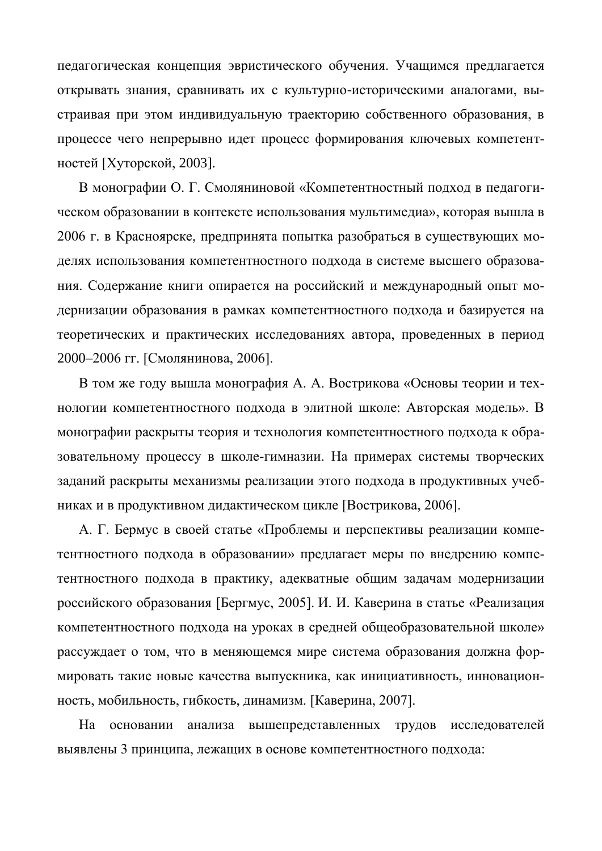педагогическая концепция эвристического обучения. Учащимся предлагается открывать знания, сравнивать их с культурно-историческими аналогами, выстраивая при этом индивидуальную траекторию собственного образования, в процессе чего непрерывно идет процесс формирования ключевых компетентностей [Хуторской, 2003].

В монографии О. Г. Смоляниновой «Компетентностный подход в педагогическом образовании в контексте использования мультимедиа», которая вышла в 2006 г. в Красноярске, предпринята попытка разобраться в существующих моделях использования компетентностного подхода в системе высшего образования. Содержание книги опирается на российский и международный опыт модернизации образования в рамках компетентностного подхода и базируется на теоретических и практических исследованиях автора, проведенных в период 2000–2006 гг. [Смолянинова, 2006].

В том же году вышла монография А. А. Вострикова «Основы теории и технологии компетентностного подхода в элитной школе: Авторская модель». В монографии раскрыты теория и технология компетентностного подхода к образовательному процессу в школе-гимназии. На примерах системы творческих заданий раскрыты механизмы реализации этого подхода в продуктивных учебниках и в продуктивном дидактическом цикле [Вострикова, 2006].

А. Г. Бермус в своей статье «Проблемы и перспективы реализации компетентностного подхода в образовании» предлагает меры по внедрению компетентностного подхода в практику, адекватные общим задачам модернизации российского образования [Бергмус, 2005]. И. И. Каверина в статье «Реализация компетентностного подхода на уроках в средней общеобразовательной школе» рассуждает о том, что в меняющемся мире система образования должна формировать такие новые качества выпускника, как инициативность, инновационность, мобильность, гибкость, динамизм. [Каверина, 2007].

На основании анализа вышепредставленных трудов исследователей выявлены 3 принципа, лежащих в основе компетентностного подхода: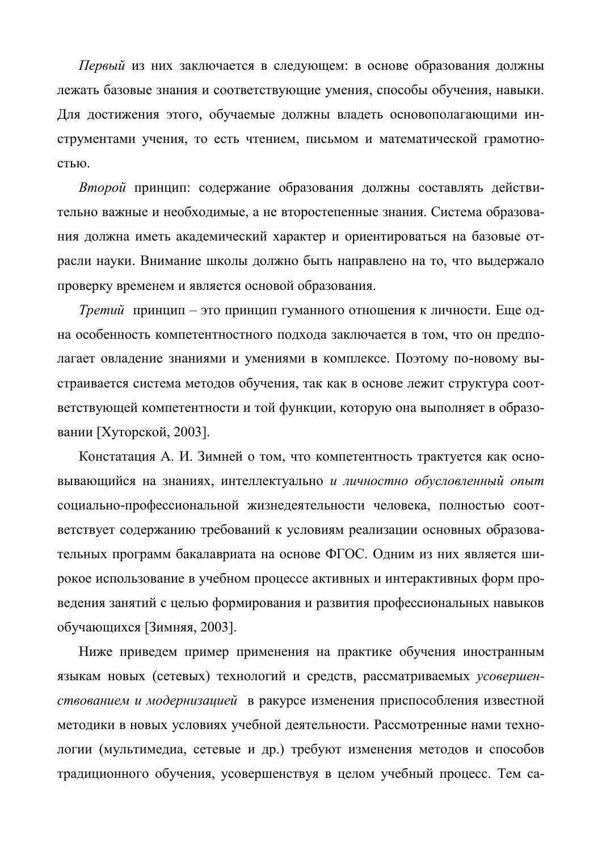*Первый* из них заключается в следующем: в основе образования должны лежать базовые знания и соответствующие умения, способы обучения, навыки. Для достижения этого, обучаемые должны владеть основополагающими инструментами учения, то есть чтением, письмом и математической грамотностью.

*Второй* принцип: содержание образования должны составлять действительно важные и необходимые, а не второстепенные знания. Система образования должна иметь академический характер и ориентироваться на базовые отрасли науки. Внимание школы должно быть направлено на то, что выдержало проверку временем и является основой образования.

*Третий* принцип – это принцип гуманного отношения к личности. Еще одна особенность компетентностного подхода заключается в том, что он предполагает овладение знаниями и умениями в комплексе. Поэтому по-новому выстраивается система методов обучения, так как в основе лежит структура соответствующей компетентности и той функции, которую она выполняет в образовании [Хуторской, 2003].

Констатация А. И. Зимней о том, что компетентность трактуется как основывающийся на знаниях, интеллектуально и личностно обусловленный опыт социально-профессиональной жизнедеятельности человека, полностью соответствует содержанию требований к условиям реализации основных образовательных программ бакалавриата на основе ФГОС. Одним из них является широкое использование в учебном процессе активных и интерактивных форм проведения занятий с целью формирования и развития профессиональных навыков обучающихся [Зимняя, 2003].

Ниже приведем пример применения на практике обучения иностранным языкам новых (сетевых) технологий и средств, рассматриваемых усовершен*ствованием и модернизацией* в ракурсе изменения приспособления известной методики в новых условиях учебной деятельности. Рассмотренные нами технологии (мультимедиа, сетевые и др.) требуют изменения методов и способов традиционного обучения, усовершенствуя в целом учебный процесс. Тем са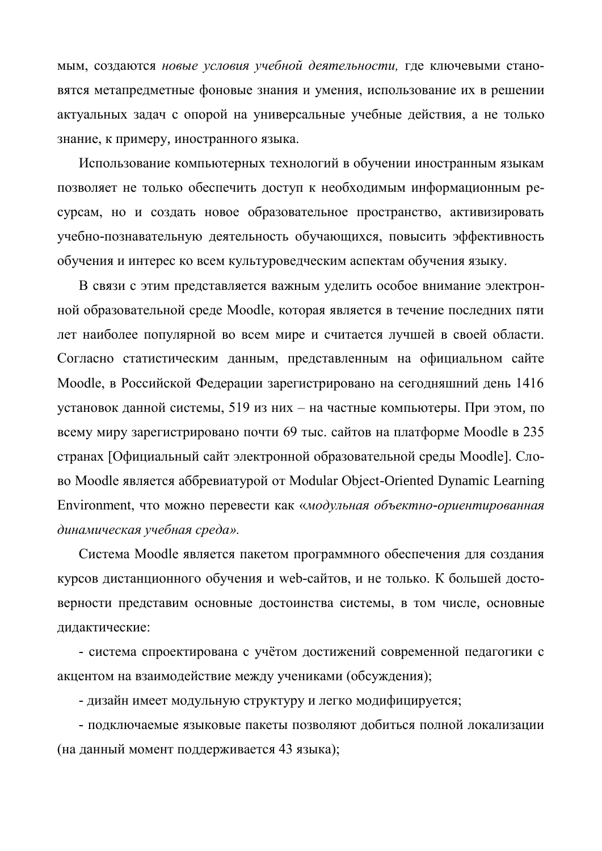мым, создаются новые условия учебной деятельности, где ключевыми становятся метапредметные фоновые знания и умения, использование их в решении актуальных задач с опорой на универсальные учебные действия, а не только знание, к примеру, иностранного языка.

Использование компьютерных технологий в обучении иностранным языкам позволяет не только обеспечить доступ к необходимым информационным ресурсам, но и создать новое образовательное пространство, активизировать учебно-познавательную деятельность обучающихся, повысить эффективность обучения и интерес ко всем культуроведческим аспектам обучения языку.

В связи с этим представляется важным уделить особое внимание электронной образовательной среде Moodle, которая является в течение последних пяти лет наиболее популярной во всем мире и считается лучшей в своей области. Согласно статистическим данным, представленным на официальном сайте Moodle, в Российской Федерации зарегистрировано на сегодняшний день 1416 установок данной системы, 519 из них – на частные компьютеры. При этом, по всему миру зарегистрировано почти 69 тыс. сайтов на платформе Moodle в 235 странах [Официальный сайт электронной образовательной среды Moodle]. Слово Moodle является аббревиатурой от Modular Object-Oriented Dynamic Learning Environment, что можно перевести как «модульная объектно-ориентированная  $\partial$ инамическая учебная среда».

Система Moodle является пакетом программного обеспечения для создания курсов дистанционного обучения и web-сайтов, и не только. К большей достоверности представим основные достоинства системы, в том числе, основные дидактические:

- система спроектирована с учётом достижений современной педагогики с акцентом на взаимодействие между учениками (обсуждения);

- дизайн имеет модульную структуру и легко модифицируется;

- подключаемые языковые пакеты позволяют добиться полной локализации (на данный момент поддерживается 43 языка);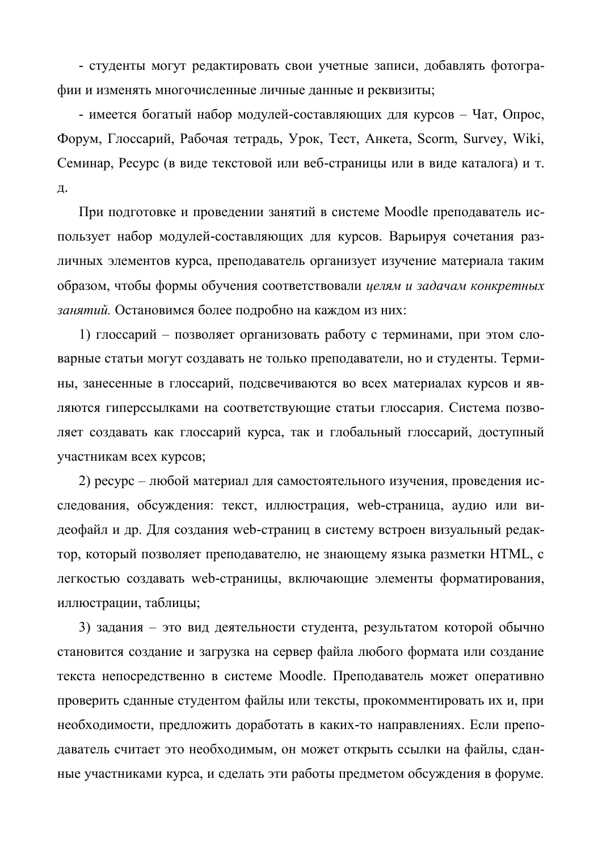- студенты могут редактировать свои учетные записи, добавлять фотографии и изменять многочисленные личные данные и реквизиты;

- имеется богатый набор модулей-составляющих для курсов – Чат, Опрос, Форум, Глоссарий, Рабочая тетрадь, Урок, Тест, Анкета, Scorm, Survey, Wiki, Семинар, Ресурс (в виде текстовой или веб-страницы или в виде каталога) и т. Д.

При подготовке и проведении занятий в системе Moodle преподаватель использует набор модулей-составляющих для курсов. Варьируя сочетания различных элементов курса, преподаватель организует изучение материала таким образом, чтобы формы обучения соответствовали *целям и задачам конкретных* занятий. Остановимся более подробно на каждом из них:

1) глоссарий – позволяет организовать работу с терминами, при этом словарные статьи могут создавать не только преподаватели, но и студенты. Термины, занесенные в глоссарий, подсвечиваются во всех материалах курсов и являются гиперссылками на соответствующие статьи глоссария. Система позволяет создавать как глоссарий курса, так и глобальный глоссарий, доступный участникам всех курсов;

2) ресурс – любой материал для самостоятельного изучения, проведения исследования, обсуждения: текст, иллюстрация, web-страница, аудио или видеофайл и др. Для создания web-страниц в систему встроен визуальный редактор, который позволяет преподавателю, не знающему языка разметки HTML, с дегкостью создавать web-страницы, включающие элементы форматирования, иллюстрации, таблицы;

3) задания – это вид деятельности студента, результатом которой обычно становится создание и загрузка на сервер файла любого формата или создание текста непосредственно в системе Moodle. Преподаватель может оперативно проверить сданные студентом файлы или тексты, прокомментировать их и, при необходимости, предложить доработать в каких-то направлениях. Если преподаватель считает это необходимым, он может открыть ссылки на файлы, сданные участниками курса, и сделать эти работы предметом обсуждения в форуме.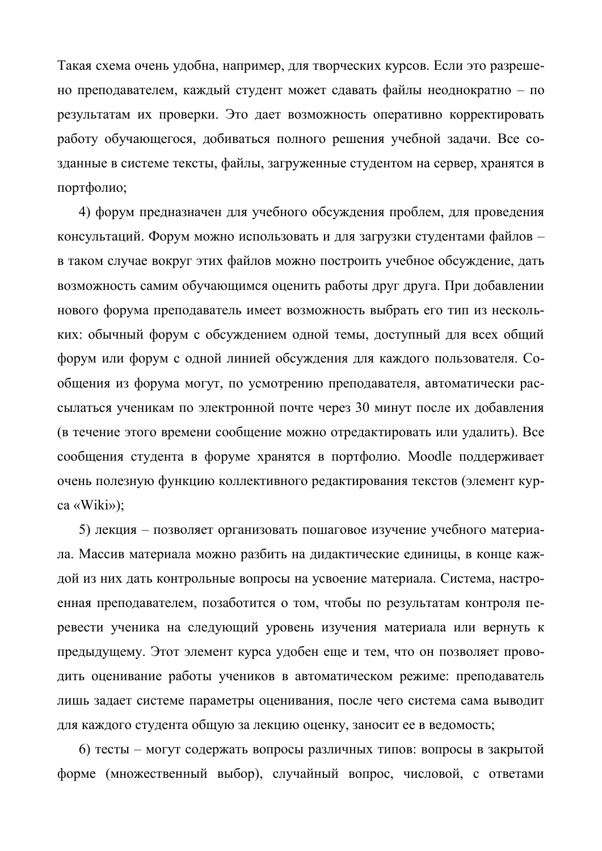Такая схема очень удобна, например, для творческих курсов. Если это разрешено преподавателем, каждый студент может сдавать файлы неоднократно – по результатам их проверки. Это дает возможность оперативно корректировать работу обучающегося, добиваться полного решения учебной задачи. Все созданные в системе тексты, файлы, загруженные студентом на сервер, хранятся в портфолио;

4) форум предназначен для учебного обсуждения проблем, для проведения консультаций. Форум можно использовать и для загрузки студентами файлов в таком случае вокруг этих файлов можно построить учебное обсуждение, дать возможность самим обучающимся оценить работы друг друга. При добавлении нового форума преподаватель имеет возможность выбрать его тип из нескольких: обычный форум с обсуждением одной темы, доступный для всех общий форум или форум с одной линией обсуждения для каждого пользователя. Сообщения из форума могут, по усмотрению преподавателя, автоматически рассылаться ученикам по электронной почте через 30 минут после их добавления (в течение этого времени сообщение можно отредактировать или удалить). Все сообщения студента в форуме хранятся в портфолио. Moodle поддерживает очень полезную функцию коллективного редактирования текстов (элемент курca «Wiki»);

5) лекция – позволяет организовать пошаговое изучение учебного материала. Массив материала можно разбить на дидактические единицы, в конце каждой из них дать контрольные вопросы на усвоение материала. Система, настроенная преподавателем, позаботится о том, чтобы по результатам контроля перевести ученика на следующий уровень изучения материала или вернуть к предыдущему. Этот элемент курса удобен еще и тем, что он позволяет проводить оценивание работы учеников в автоматическом режиме: преподаватель лишь задает системе параметры оценивания, после чего система сама выводит для каждого студента общую за лекцию оценку, заносит ее в ведомость;

6) тесты – могут содержать вопросы различных типов: вопросы в закрытой форме (множественный выбор), случайный вопрос, числовой, с ответами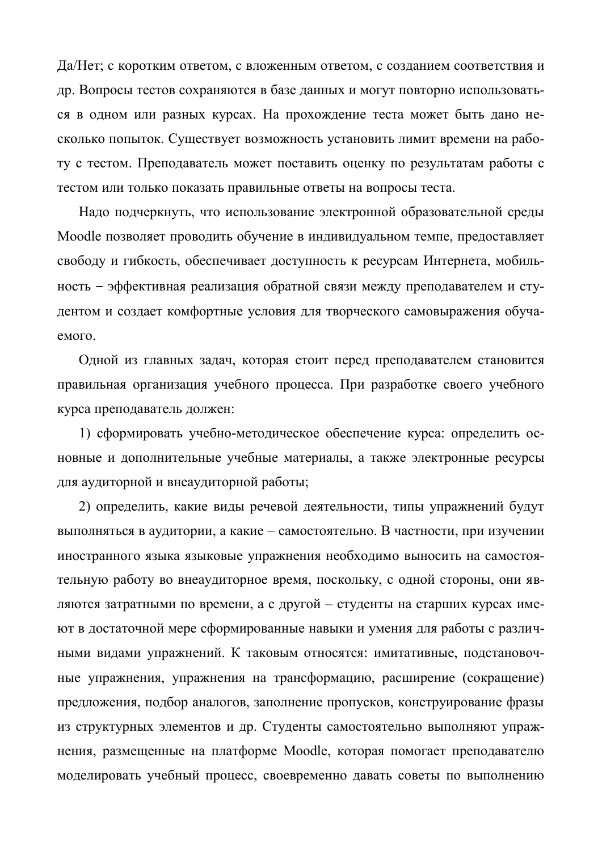Да/Нет; с коротким ответом, с вложенным ответом, с созданием соответствия и др. Вопросы тестов сохраняются в базе данных и могут повторно использоваться в одном или разных курсах. На прохождение теста может быть дано несколько попыток. Существует возможность установить лимит времени на работу с тестом. Преподаватель может поставить оценку по результатам работы с тестом или только показать правильные ответы на вопросы теста.

Надо подчеркнуть, что использование электронной образовательной среды Moodle позволяет проводить обучение в индивидуальном темпе, предоставляет свободу и гибкость, обеспечивает доступность к ресурсам Интернета, мобильность - эффективная реализация обратной связи между преподавателем и студентом и создает комфортные условия для творческого самовыражения обучаемого.

Одной из главных задач, которая стоит перед преподавателем становится правильная организация учебного процесса. При разработке своего учебного курса преподаватель должен:

1) сформировать учебно-методическое обеспечение курса: определить основные и дополнительные учебные материалы, а также электронные ресурсы для аудиторной и внеаудиторной работы;

2) определить, какие виды речевой деятельности, типы упражнений будут выполняться в аудитории, а какие – самостоятельно. В частности, при изучении иностранного языка языковые упражнения необходимо выносить на самостоятельную работу во внеаудиторное время, поскольку, с одной стороны, они являются затратными по времени, а с другой – студенты на старших курсах имеют в достаточной мере сформированные навыки и умения для работы с различными видами упражнений. К таковым относятся: имитативные, подстановочные упражнения, упражнения на трансформацию, расширение (сокращение) предложения, подбор аналогов, заполнение пропусков, конструирование фразы из структурных элементов и др. Студенты самостоятельно выполняют упражнения, размещенные на платформе Moodle, которая помогает преподавателю моделировать учебный процесс, своевременно давать советы по выполнению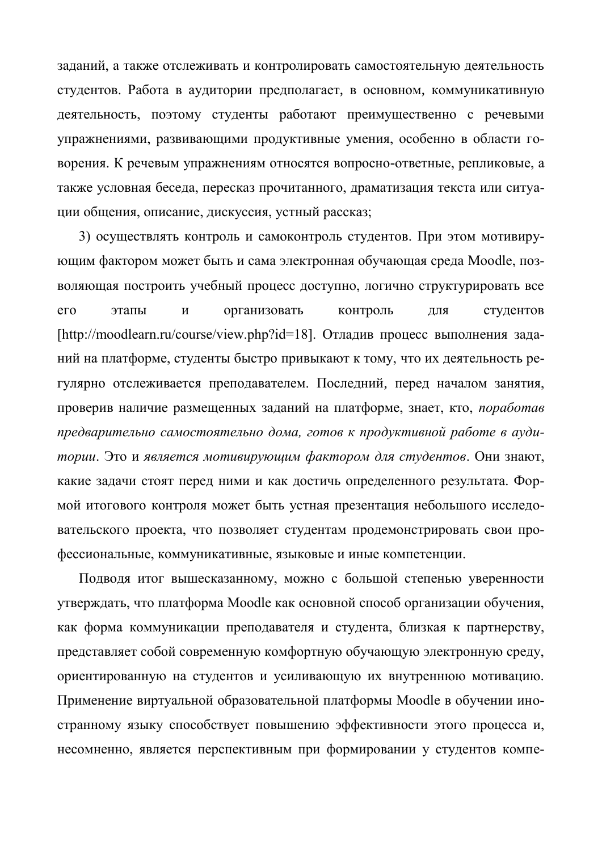заданий, а также отслеживать и контролировать самостоятельную деятельность студентов. Работа в аудитории предполагает, в основном, коммуникативную деятельность, поэтому студенты работают преимущественно с речевыми упражнениями, развивающими продуктивные умения, особенно в области говорения. К речевым упражнениям относятся вопросно-ответные, репликовые, а также условная беседа, пересказ прочитанного, драматизация текста или ситуации общения, описание, дискуссия, устный рассказ;

3) осуществлять контроль и самоконтроль студентов. При этом мотивирующим фактором может быть и сама электронная обучающая среда Moodle, позволяющая построить учебный процесс доступно, логично структурировать все его этапы и организовать контроль для студентов [http://moodlearn.ru/course/view.php?id=18]. Отладив процесс выполнения заданий на платформе, студенты быстро привыкают к тому, что их деятельность регулярно отслеживается преподавателем. Последний, перед началом занятия, проверив наличие размещенных заданий на платформе, знает, кто, *поработав* предварительно самостоятельно дома, готов к продуктивной работе в ауди*тории*. Это и является мотивирующим фактором для студентов. Они знают, какие задачи стоят перед ними и как достичь определенного результата. Формой итогового контроля может быть устная презентация небольшого исследовательского проекта, что позволяет студентам продемонстрировать свои профессиональные, коммуникативные, языковые и иные компетенции.

Подводя итог вышесказанному, можно с большой степенью уверенности утверждать, что платформа Moodle как основной способ организации обучения, как форма коммуникации преподавателя и студента, близкая к партнерству, представляет собой современную комфортную обучающую электронную среду, ориентированную на студентов и усиливающую их внутреннюю мотивацию. Применение виртуальной образовательной платформы Moodle в обучении иностранному языку способствует повышению эффективности этого процесса и, несомненно, является перспективным при формировании у студентов компе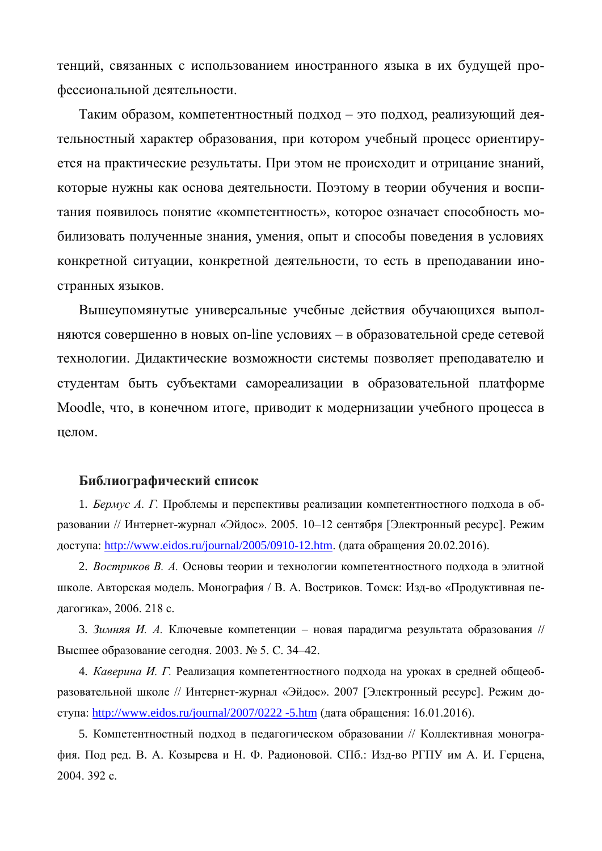тенций, связанных с использованием иностранного языка в их будущей профессиональной деятельности.

Таким образом, компетентностный подход – это подход, реализующий деятельностный характер образования, при котором учебный процесс ориентируется на практические результаты. При этом не происходит и отрицание знаний, которые нужны как основа деятельности. Поэтому в теории обучения и воспитания появилось понятие «компетентность», которое означает способность мобилизовать полученные знания, умения, опыт и способы поведения в условиях конкретной ситуации, конкретной деятельности, то есть в преподавании иностранных языков.

Вышеупомянутые универсальные учебные действия обучающихся выполняются совершенно в новых on-line условиях – в образовательной среде сетевой технологии. Дидактические возможности системы позволяет преподавателю и студентам быть субъектами самореализации в образовательной платформе Moodle, что, в конечном итоге, приводит к модернизации учебного процесса в целом.

## **Библиографический список**

1. *Бермус А. Г.* Проблемы и перспективы реализации компетентностного подхода в образовании // Интернет-журнал «Эйдос». 2005. 10–12 сентября [Электронный ресурс]. Режим доступа: <http://www.eidos.ru/journal/2005/0910-12.htm>. (дата обращения 20.02.2016).

2. Востриков В. А. Основы теории и технологии компетентностного подхода в элитной школе. Авторская модель. Монография / В. А. Востриков. Томск: Изд-во «Продуктивная педагогика», 2006. 218 с.

3. Зимняя И. А. Ключевые компетенции – новая парадигма результата образования // Высшее образование сегодня. 2003. № 5. С. 34–42.

4. Каверина И. Г. Реализация компетентностного подхода на уроках в средней общеобразовательной школе // Интернет-журнал «Эйдос». 2007 [Электронный ресурс]. Режим доступа: [http://www.eidos.ru/journal/2007/0222 -5.htm](http://www.eidos.ru/journal/2007/0222%20-5.htm) (дата обращения:  $16.01.2016$ ).

5. Компетентностный подход в педагогическом образовании // Коллективная монография. Под ред. В. А. Козырева и Н. Ф. Радионовой. СПб.: Изд-во РГПУ им А. И. Герцена, 2004. 392 c.